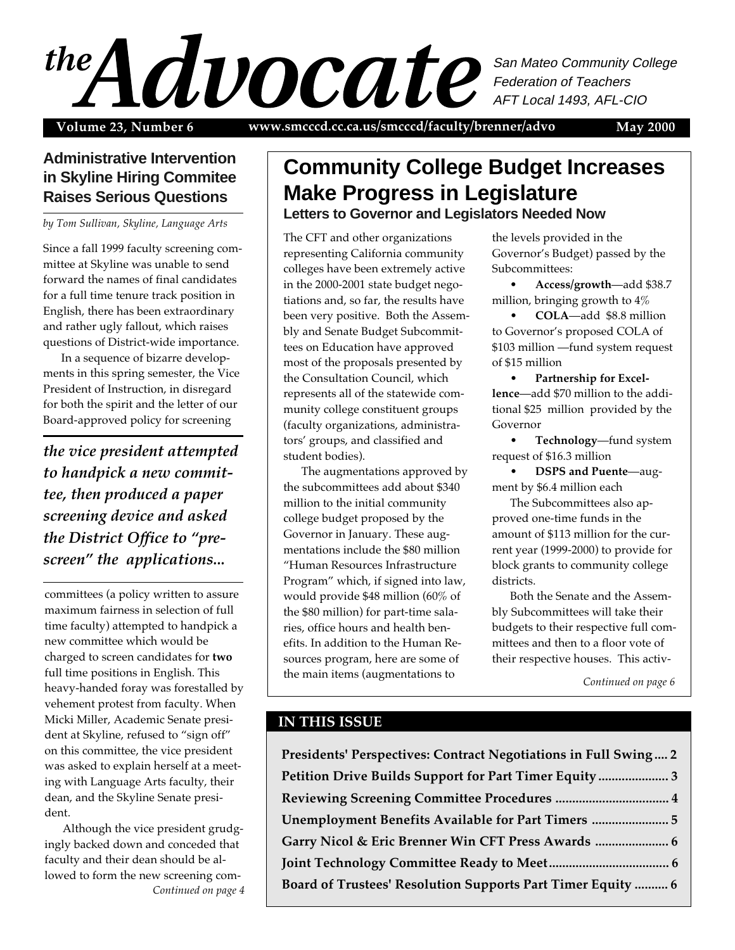# MAY 2000 1 San Mateo Community College Federation of Teachers AFT Local 1493, AFL-CIO

**Volume 23, Number 6 May 2000 www.smcccd.cc.ca.us/smcccd/faculty/brenner/advo**

# **Administrative Intervention in Skyline Hiring Commitee Raises Serious Questions**

*by Tom Sullivan, Skyline, Language Arts*

Since a fall 1999 faculty screening committee at Skyline was unable to send forward the names of final candidates for a full time tenure track position in English, there has been extraordinary and rather ugly fallout, which raises questions of District-wide importance.

In a sequence of bizarre developments in this spring semester, the Vice President of Instruction, in disregard for both the spirit and the letter of our Board-approved policy for screening

*the vice president attempted to handpick a new committee, then produced a paper screening device and asked the District Office to "prescreen" the applications...*

committees (a policy written to assure maximum fairness in selection of full time faculty) attempted to handpick a new committee which would be charged to screen candidates for **two** full time positions in English. This heavy-handed foray was forestalled by vehement protest from faculty. When Micki Miller, Academic Senate president at Skyline, refused to "sign off" on this committee, the vice president was asked to explain herself at a meeting with Language Arts faculty, their dean, and the Skyline Senate president.

*Continued on page 4* Although the vice president grudgingly backed down and conceded that faculty and their dean should be allowed to form the new screening com-

# **Community College Budget Increases Make Progress in Legislature Letters to Governor and Legislators Needed Now**

The CFT and other organizations representing California community colleges have been extremely active in the 2000-2001 state budget negotiations and, so far, the results have been very positive. Both the Assembly and Senate Budget Subcommittees on Education have approved most of the proposals presented by the Consultation Council, which represents all of the statewide community college constituent groups (faculty organizations, administrators' groups, and classified and student bodies).

The augmentations approved by the subcommittees add about \$340 million to the initial community college budget proposed by the Governor in January. These augmentations include the \$80 million "Human Resources Infrastructure Program" which, if signed into law, would provide \$48 million (60% of the \$80 million) for part-time salaries, office hours and health benefits. In addition to the Human Resources program, here are some of the main items (augmentations to

the levels provided in the Governor's Budget) passed by the Subcommittees:

• **Access/growth**—add \$38.7 million, bringing growth to 4%

• **COLA**—add \$8.8 million to Governor's proposed COLA of \$103 million —fund system request of \$15 million

• **Partnership for Excellence**—add \$70 million to the additional \$25 million provided by the Governor

• **Technology**—fund system request of \$16.3 million

• **DSPS and Puente**—augment by \$6.4 million each

The Subcommittees also approved one-time funds in the amount of \$113 million for the current year (1999-2000) to provide for block grants to community college districts.

Both the Senate and the Assembly Subcommittees will take their budgets to their respective full committees and then to a floor vote of their respective houses. This activ-

*Continued on page 6*

### **IN THIS ISSUE**

**Presidents' Perspectives: Contract Negotiations in Full Swing .... 2 Petition Drive Builds Support for Part Timer Equity ..................... 3 Reviewing Screening Committee Procedures .................................. 4 Unemployment Benefits Available for Part Timers ....................... 5 Garry Nicol & Eric Brenner Win CFT Press Awards ...................... 6 Joint Technology Committee Ready to Meet.................................... 6 Board of Trustees' Resolution Supports Part Timer Equity .......... 6**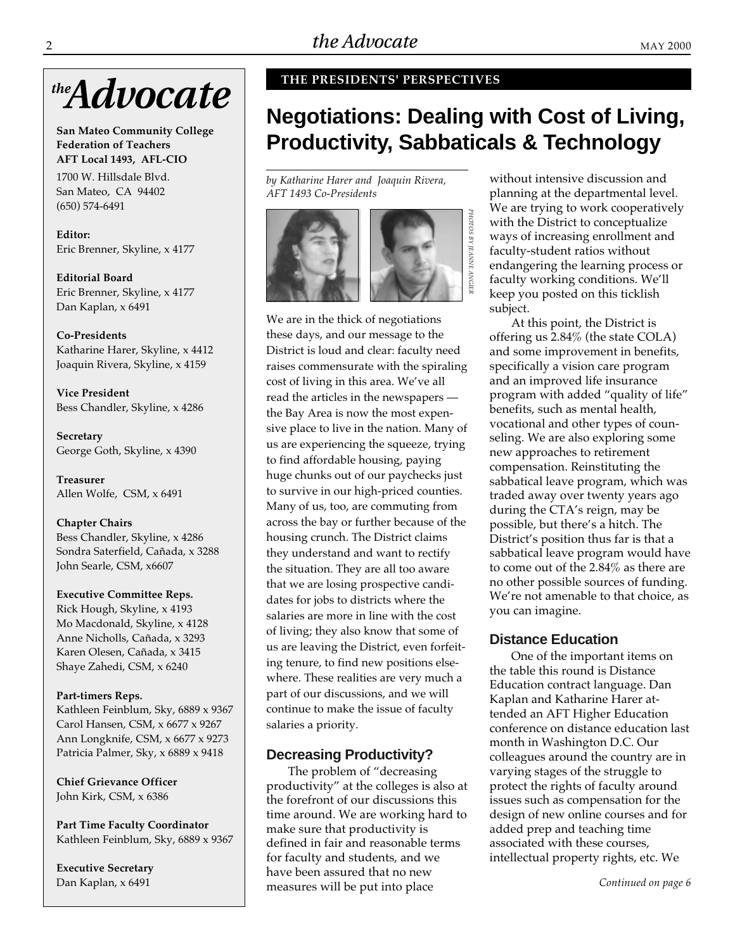

**San Mateo Community College Federation of Teachers AFT Local 1493, AFL-CIO**

1700 W. Hillsdale Blvd. San Mateo, CA 94402 (650) 574-6491

**Editor:** Eric Brenner, Skyline, x 4177

**Editorial Board** Eric Brenner, Skyline, x 4177 Dan Kaplan, x 6491

**Co-Presidents** Katharine Harer, Skyline, x 4412 Joaquin Rivera, Skyline, x 4159

**Vice President** Bess Chandler, Skyline, x 4286

**Secretary** George Goth, Skyline, x 4390

**Treasurer** Allen Wolfe, CSM, x 6491

**Chapter Chairs** Bess Chandler, Skyline, x 4286 Sondra Saterfield, Cañada, x 3288 John Searle, CSM, x6607

#### **Executive Committee Reps.**

Rick Hough, Skyline, x 4193 Mo Macdonald, Skyline, x 4128 Anne Nicholls, Cañada, x 3293 Karen Olesen, Cañada, x 3415 Shaye Zahedi, CSM, x 6240

#### **Part-timers Reps.**

Kathleen Feinblum, Sky, 6889 x 9367 Carol Hansen, CSM, x 6677 x 9267 Ann Longknife, CSM, x 6677 x 9273 Patricia Palmer, Sky, x 6889 x 9418

**Chief Grievance Officer** John Kirk, CSM, x 6386

**Part Time Faculty Coordinator** Kathleen Feinblum, Sky, 6889 x 9367

**Executive Secretary** Dan Kaplan, x 6491

#### **THE PRESIDENTS' PERSPECTIVES**

# **Negotiations: Dealing with Cost of Living, Productivity, Sabbaticals & Technology**

*PHOTOS BY JEANNE ANGIER*

PHOTOS BY JEANNE ANGIER

*by Katharine Harer and Joaquin Rivera, AFT 1493 Co-Presidents*



We are in the thick of negotiations these days, and our message to the District is loud and clear: faculty need raises commensurate with the spiraling cost of living in this area. We've all read the articles in the newspapers the Bay Area is now the most expensive place to live in the nation. Many of us are experiencing the squeeze, trying to find affordable housing, paying huge chunks out of our paychecks just to survive in our high-priced counties. Many of us, too, are commuting from across the bay or further because of the housing crunch. The District claims they understand and want to rectify the situation. They are all too aware that we are losing prospective candidates for jobs to districts where the salaries are more in line with the cost of living; they also know that some of us are leaving the District, even forfeiting tenure, to find new positions elsewhere. These realities are very much a part of our discussions, and we will continue to make the issue of faculty salaries a priority.

#### **Decreasing Productivity?**

The problem of "decreasing productivity" at the colleges is also at the forefront of our discussions this time around. We are working hard to make sure that productivity is defined in fair and reasonable terms for faculty and students, and we have been assured that no new measures will be put into place

without intensive discussion and planning at the departmental level. We are trying to work cooperatively with the District to conceptualize ways of increasing enrollment and faculty-student ratios without endangering the learning process or faculty working conditions. We'll keep you posted on this ticklish subject.

At this point, the District is offering us 2.84% (the state COLA) and some improvement in benefits, specifically a vision care program and an improved life insurance program with added "quality of life" benefits, such as mental health, vocational and other types of counseling. We are also exploring some new approaches to retirement compensation. Reinstituting the sabbatical leave program, which was traded away over twenty years ago during the CTA's reign, may be possible, but there's a hitch. The District's position thus far is that a sabbatical leave program would have to come out of the 2.84% as there are no other possible sources of funding. We're not amenable to that choice, as you can imagine.

#### **Distance Education**

One of the important items on the table this round is Distance Education contract language. Dan Kaplan and Katharine Harer attended an AFT Higher Education conference on distance education last month in Washington D.C. Our colleagues around the country are in varying stages of the struggle to protect the rights of faculty around issues such as compensation for the design of new online courses and for added prep and teaching time associated with these courses, intellectual property rights, etc. We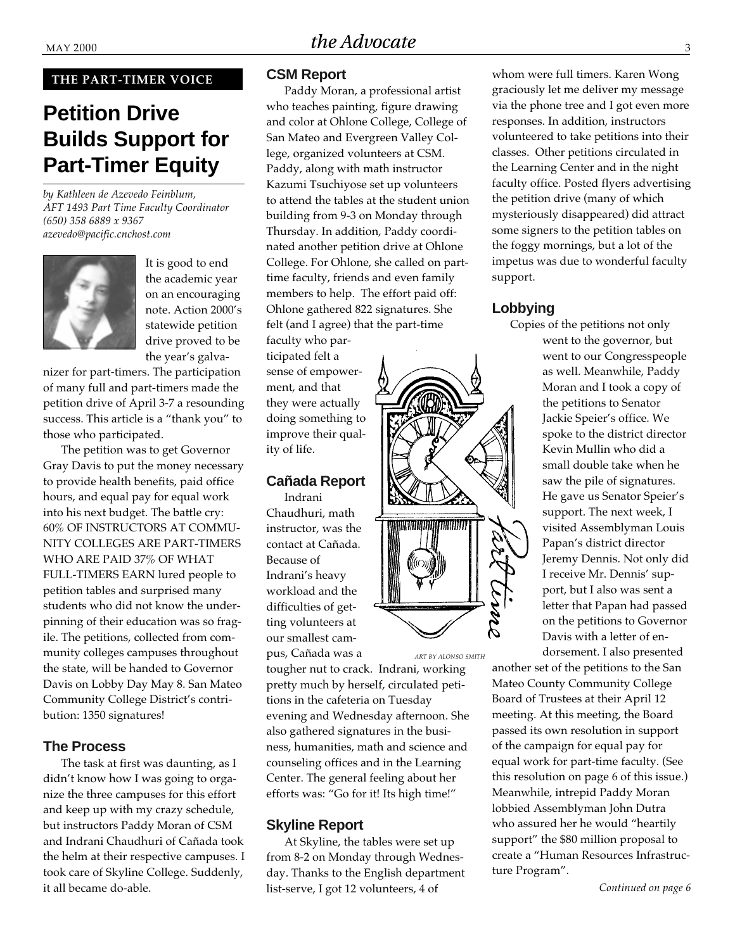#### **THE PART-TIMER VOICE**

# **Petition Drive Builds Support for Part-Timer Equity**

*by Kathleen de Azevedo Feinblum, AFT 1493 Part Time Faculty Coordinator (650) 358 6889 x 9367 azevedo@pacific.cnchost.com*



It is good to end the academic year on an encouraging note. Action 2000's statewide petition drive proved to be the year's galva-

nizer for part-timers. The participation of many full and part-timers made the petition drive of April 3-7 a resounding success. This article is a "thank you" to those who participated.

The petition was to get Governor Gray Davis to put the money necessary to provide health benefits, paid office hours, and equal pay for equal work into his next budget. The battle cry: 60% OF INSTRUCTORS AT COMMU-NITY COLLEGES ARE PART-TIMERS WHO ARE PAID 37% OF WHAT FULL-TIMERS EARN lured people to petition tables and surprised many students who did not know the underpinning of their education was so fragile. The petitions, collected from community colleges campuses throughout the state, will be handed to Governor Davis on Lobby Day May 8. San Mateo Community College District's contribution: 1350 signatures!

### **The Process**

The task at first was daunting, as I didn't know how I was going to organize the three campuses for this effort and keep up with my crazy schedule, but instructors Paddy Moran of CSM and Indrani Chaudhuri of Cañada took the helm at their respective campuses. I took care of Skyline College. Suddenly, it all became do-able.

#### **CSM Report**

Paddy Moran, a professional artist who teaches painting, figure drawing and color at Ohlone College, College of San Mateo and Evergreen Valley College, organized volunteers at CSM. Paddy, along with math instructor Kazumi Tsuchiyose set up volunteers to attend the tables at the student union building from 9-3 on Monday through Thursday. In addition, Paddy coordinated another petition drive at Ohlone College. For Ohlone, she called on parttime faculty, friends and even family members to help. The effort paid off: Ohlone gathered 822 signatures. She felt (and I agree) that the part-time

faculty who participated felt a sense of empowerment, and that they were actually doing something to improve their quality of life.

# **Cañada Report**

Indrani Chaudhuri, math instructor, was the contact at Cañada. Because of Indrani's heavy workload and the difficulties of getting volunteers at our smallest campus, Cañada was a

tougher nut to crack. Indrani, working pretty much by herself, circulated petitions in the cafeteria on Tuesday evening and Wednesday afternoon. She also gathered signatures in the business, humanities, math and science and counseling offices and in the Learning Center. The general feeling about her efforts was: "Go for it! Its high time!"

#### **Skyline Report**

At Skyline, the tables were set up from 8-2 on Monday through Wednesday. Thanks to the English department list-serve, I got 12 volunteers, 4 of

whom were full timers. Karen Wong graciously let me deliver my message via the phone tree and I got even more responses. In addition, instructors volunteered to take petitions into their classes. Other petitions circulated in the Learning Center and in the night faculty office. Posted flyers advertising the petition drive (many of which mysteriously disappeared) did attract some signers to the petition tables on the foggy mornings, but a lot of the impetus was due to wonderful faculty support.

### **Lobbying**

Copies of the petitions not only went to the governor, but went to our Congresspeople as well. Meanwhile, Paddy Moran and I took a copy of the petitions to Senator Jackie Speier's office. We spoke to the district director Kevin Mullin who did a small double take when he saw the pile of signatures. He gave us Senator Speier's support. The next week, I visited Assemblyman Louis Papan's district director Jeremy Dennis. Not only did I receive Mr. Dennis' support, but I also was sent a letter that Papan had passed on the petitions to Governor Davis with a letter of endorsement. I also presented

another set of the petitions to the San Mateo County Community College Board of Trustees at their April 12 meeting. At this meeting, the Board passed its own resolution in support of the campaign for equal pay for equal work for part-time faculty. (See this resolution on page 6 of this issue.) Meanwhile, intrepid Paddy Moran lobbied Assemblyman John Dutra who assured her he would "heartily support" the \$80 million proposal to create a "Human Resources Infrastructure Program".



*ART BY ALONSO SMITH*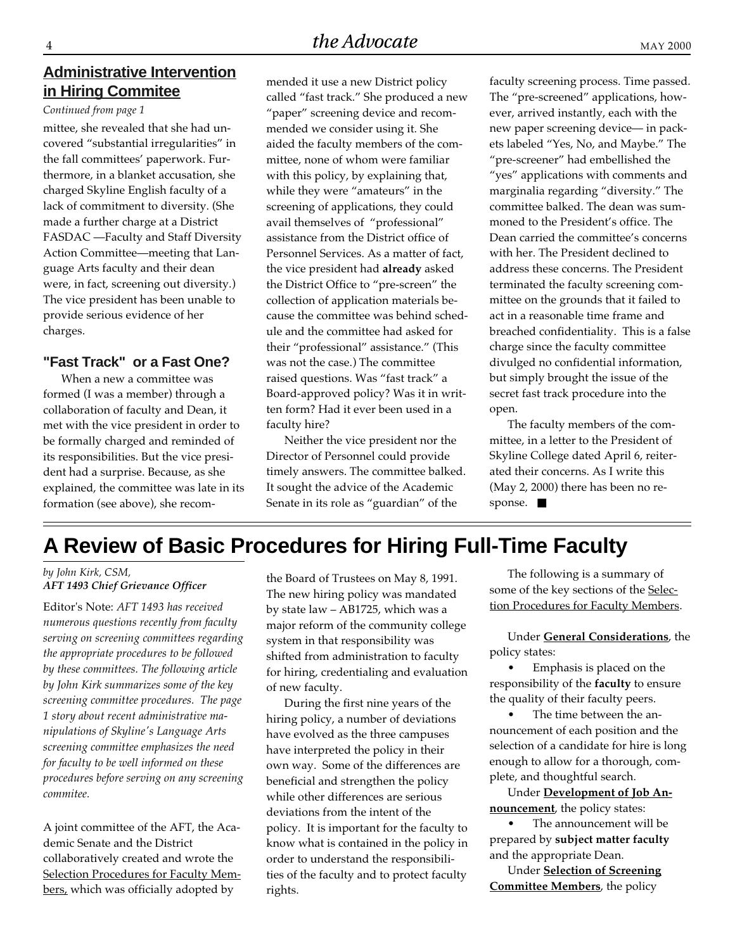### **Administrative Intervention in Hiring Commitee**

#### *Continued from page 1*

mittee, she revealed that she had uncovered "substantial irregularities" in the fall committees' paperwork. Furthermore, in a blanket accusation, she charged Skyline English faculty of a lack of commitment to diversity. (She made a further charge at a District FASDAC —Faculty and Staff Diversity Action Committee—meeting that Language Arts faculty and their dean were, in fact, screening out diversity.) The vice president has been unable to provide serious evidence of her charges.

#### **"Fast Track" or a Fast One?**

When a new a committee was formed (I was a member) through a collaboration of faculty and Dean, it met with the vice president in order to be formally charged and reminded of its responsibilities. But the vice president had a surprise. Because, as she explained, the committee was late in its formation (see above), she recommended it use a new District policy called "fast track." She produced a new "paper" screening device and recommended we consider using it. She aided the faculty members of the committee, none of whom were familiar with this policy, by explaining that, while they were "amateurs" in the screening of applications, they could avail themselves of "professional" assistance from the District office of Personnel Services. As a matter of fact, the vice president had **already** asked the District Office to "pre-screen" the collection of application materials because the committee was behind schedule and the committee had asked for their "professional" assistance." (This was not the case.) The committee raised questions. Was "fast track" a Board-approved policy? Was it in written form? Had it ever been used in a faculty hire?

Neither the vice president nor the Director of Personnel could provide timely answers. The committee balked. It sought the advice of the Academic Senate in its role as "guardian" of the

faculty screening process. Time passed. The "pre-screened" applications, however, arrived instantly, each with the new paper screening device— in packets labeled "Yes, No, and Maybe." The "pre-screener" had embellished the "yes" applications with comments and marginalia regarding "diversity." The committee balked. The dean was summoned to the President's office. The Dean carried the committee's concerns with her. The President declined to address these concerns. The President terminated the faculty screening committee on the grounds that it failed to act in a reasonable time frame and breached confidentiality. This is a false charge since the faculty committee divulged no confidential information, but simply brought the issue of the secret fast track procedure into the open.

The faculty members of the committee, in a letter to the President of Skyline College dated April 6, reiterated their concerns. As I write this (May 2, 2000) there has been no response. ■

# **A Review of Basic Procedures for Hiring Full-Time Faculty**

#### *by John Kirk, CSM, AFT 1493 Chief Grievance Officer*

Editor's Note: *AFT 1493 has received numerous questions recently from faculty serving on screening committees regarding the appropriate procedures to be followed by these committees. The following article by John Kirk summarizes some of the key screening committee procedures. The page 1 story about recent administrative manipulations of Skyline's Language Arts screening committee emphasizes the need for faculty to be well informed on these procedures before serving on any screening commitee.*

A joint committee of the AFT, the Academic Senate and the District collaboratively created and wrote the Selection Procedures for Faculty Members, which was officially adopted by

the Board of Trustees on May 8, 1991. The new hiring policy was mandated by state law – AB1725, which was a major reform of the community college system in that responsibility was shifted from administration to faculty for hiring, credentialing and evaluation of new faculty.

During the first nine years of the hiring policy, a number of deviations have evolved as the three campuses have interpreted the policy in their own way. Some of the differences are beneficial and strengthen the policy while other differences are serious deviations from the intent of the policy. It is important for the faculty to know what is contained in the policy in order to understand the responsibilities of the faculty and to protect faculty rights.

The following is a summary of some of the key sections of the Selection Procedures for Faculty Members.

Under **General Considerations**, the policy states:

• Emphasis is placed on the responsibility of the **faculty** to ensure the quality of their faculty peers.

The time between the announcement of each position and the selection of a candidate for hire is long enough to allow for a thorough, complete, and thoughtful search.

Under **Development of Job Announcement**, the policy states:

• The announcement will be prepared by **subject matter faculty** and the appropriate Dean.

Under **Selection of Screening Committee Members**, the policy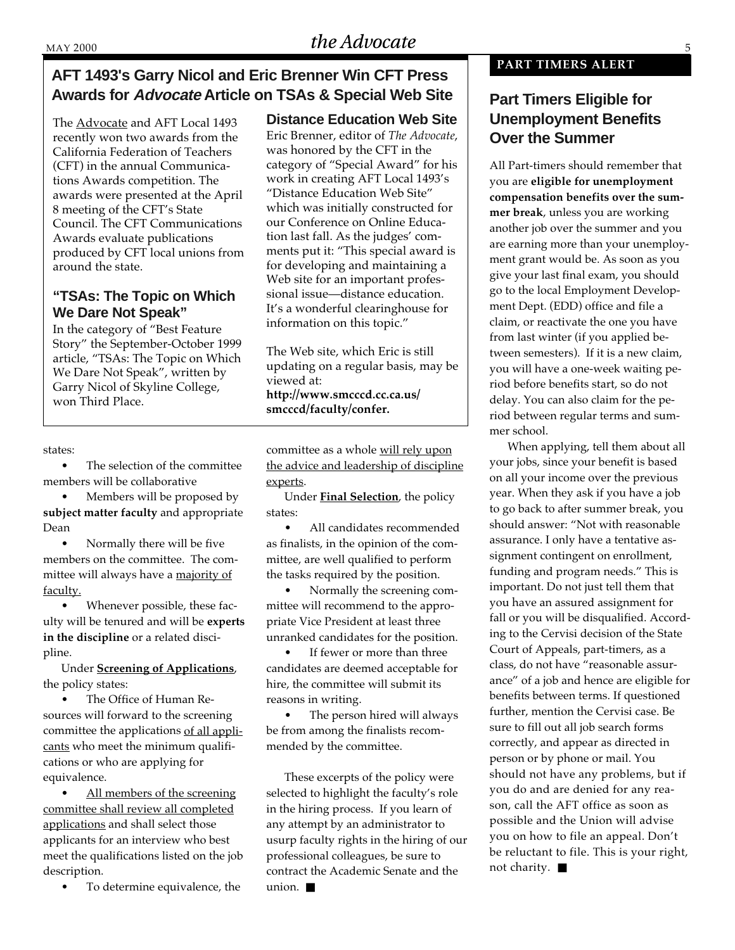# **AFT 1493's Garry Nicol and Eric Brenner Win CFT Press** Awards for *Advocate* Article on TSAs & Special Web Site **Part Timers Eligible for**

The Advocate and AFT Local 1493 recently won two awards from the California Federation of Teachers (CFT) in the annual Communications Awards competition. The awards were presented at the April 8 meeting of the CFT's State Council. The CFT Communications Awards evaluate publications produced by CFT local unions from around the state.

#### **"TSAs: The Topic on Which We Dare Not Speak"**

In the category of "Best Feature Story" the September-October 1999 article, "TSAs: The Topic on Which We Dare Not Speak", written by Garry Nicol of Skyline College, won Third Place.

#### states:

The selection of the committee members will be collaborative

• Members will be proposed by **subject matter faculty** and appropriate Dean

• Normally there will be five members on the committee. The committee will always have a majority of faculty.

• Whenever possible, these faculty will be tenured and will be **experts in the discipline** or a related discipline.

Under **Screening of Applications**, the policy states:

• The Office of Human Resources will forward to the screening committee the applications of all applicants who meet the minimum qualifications or who are applying for equivalence.

All members of the screening committee shall review all completed applications and shall select those applicants for an interview who best meet the qualifications listed on the job description.

To determine equivalence, the

**Distance Education Web Site**

Eric Brenner, editor of *The Advocate*, was honored by the CFT in the category of "Special Award" for his work in creating AFT Local 1493's "Distance Education Web Site" which was initially constructed for our Conference on Online Education last fall. As the judges' comments put it: "This special award is for developing and maintaining a Web site for an important professional issue—distance education. It's a wonderful clearinghouse for information on this topic."

The Web site, which Eric is still updating on a regular basis, may be viewed at: **http://www.smcccd.cc.ca.us/ smcccd/faculty/confer.**

committee as a whole will rely upon the advice and leadership of discipline experts.

Under **Final Selection**, the policy states:

• All candidates recommended as finalists, in the opinion of the committee, are well qualified to perform the tasks required by the position.

• Normally the screening committee will recommend to the appropriate Vice President at least three unranked candidates for the position.

If fewer or more than three candidates are deemed acceptable for hire, the committee will submit its reasons in writing.

The person hired will always be from among the finalists recommended by the committee.

These excerpts of the policy were selected to highlight the faculty's role in the hiring process. If you learn of any attempt by an administrator to usurp faculty rights in the hiring of our professional colleagues, be sure to contract the Academic Senate and the union. ■

#### **PART TIMERS ALERT**

# **Unemployment Benefits Over the Summer**

All Part-timers should remember that you are **eligible for unemployment compensation benefits over the summer break**, unless you are working another job over the summer and you are earning more than your unemployment grant would be. As soon as you give your last final exam, you should go to the local Employment Development Dept. (EDD) office and file a claim, or reactivate the one you have from last winter (if you applied between semesters). If it is a new claim, you will have a one-week waiting period before benefits start, so do not delay. You can also claim for the period between regular terms and summer school.

When applying, tell them about all your jobs, since your benefit is based on all your income over the previous year. When they ask if you have a job to go back to after summer break, you should answer: "Not with reasonable assurance. I only have a tentative assignment contingent on enrollment, funding and program needs." This is important. Do not just tell them that you have an assured assignment for fall or you will be disqualified. According to the Cervisi decision of the State Court of Appeals, part-timers, as a class, do not have "reasonable assurance" of a job and hence are eligible for benefits between terms. If questioned further, mention the Cervisi case. Be sure to fill out all job search forms correctly, and appear as directed in person or by phone or mail. You should not have any problems, but if you do and are denied for any reason, call the AFT office as soon as possible and the Union will advise you on how to file an appeal. Don't be reluctant to file. This is your right, not charity. ■